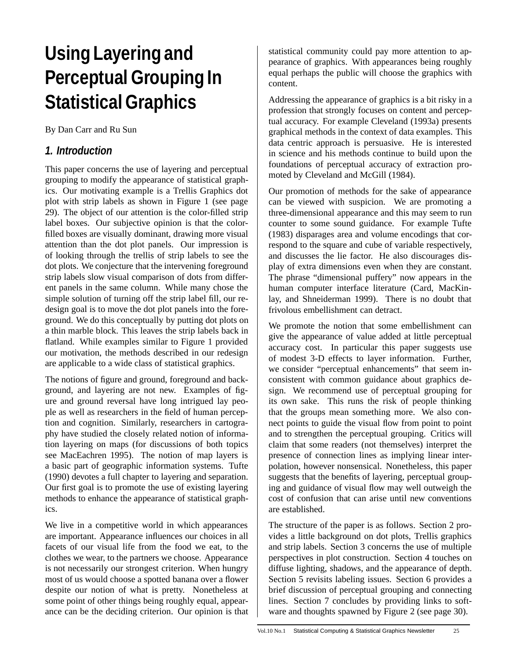# **Using Layering and Perceptual Grouping In Statistical Graphics**

By Dan Carr and Ru Sun

#### **1. Introduction**

This paper concerns the use of layering and perceptual grouping to modify the appearance of statistical graphics. Our motivating example is a Trellis Graphics dot plot with strip labels as shown in Figure 1 (see page 29). The object of our attention is the color-filled strip label boxes. Our subjective opinion is that the colorfilled boxes are visually dominant, drawing more visual attention than the dot plot panels. Our impression is of looking through the trellis of strip labels to see the dot plots. We conjecture that the intervening foreground strip labels slow visual comparison of dots from different panels in the same column. While many chose the simple solution of turning off the strip label fill, our redesign goal is to move the dot plot panels into the foreground. We do this conceptually by putting dot plots on a thin marble block. This leaves the strip labels back in flatland. While examples similar to Figure 1 provided our motivation, the methods described in our redesign are applicable to a wide class of statistical graphics.

The notions of figure and ground, foreground and background, and layering are not new. Examples of figure and ground reversal have long intrigued lay people as well as researchers in the field of human perception and cognition. Similarly, researchers in cartography have studied the closely related notion of information layering on maps (for discussions of both topics see MacEachren 1995). The notion of map layers is a basic part of geographic information systems. Tufte (1990) devotes a full chapter to layering and separation. Our first goal is to promote the use of existing layering methods to enhance the appearance of statistical graphics.

We live in a competitive world in which appearances are important. Appearance influences our choices in all facets of our visual life from the food we eat, to the clothes we wear, to the partners we choose. Appearance is not necessarily our strongest criterion. When hungry most of us would choose a spotted banana over a flower despite our notion of what is pretty. Nonetheless at some point of other things being roughly equal, appearance can be the deciding criterion. Our opinion is that statistical community could pay more attention to appearance of graphics. With appearances being roughly equal perhaps the public will choose the graphics with content.

Addressing the appearance of graphics is a bit risky in a profession that strongly focuses on content and perceptual accuracy. For example Cleveland (1993a) presents graphical methods in the context of data examples. This data centric approach is persuasive. He is interested in science and his methods continue to build upon the foundations of perceptual accuracy of extraction promoted by Cleveland and McGill (1984).

Our promotion of methods for the sake of appearance can be viewed with suspicion. We are promoting a three-dimensional appearance and this may seem to run counter to some sound guidance. For example Tufte (1983) disparages area and volume encodings that correspond to the square and cube of variable respectively, and discusses the lie factor. He also discourages display of extra dimensions even when they are constant. The phrase "dimensional puffery" now appears in the human computer interface literature (Card, MacKinlay, and Shneiderman 1999). There is no doubt that frivolous embellishment can detract.

We promote the notion that some embellishment can give the appearance of value added at little perceptual accuracy cost. In particular this paper suggests use of modest 3-D effects to layer information. Further, we consider "perceptual enhancements" that seem inconsistent with common guidance about graphics design. We recommend use of perceptual grouping for its own sake. This runs the risk of people thinking that the groups mean something more. We also connect points to guide the visual flow from point to point and to strengthen the perceptual grouping. Critics will claim that some readers (not themselves) interpret the presence of connection lines as implying linear interpolation, however nonsensical. Nonetheless, this paper suggests that the benefits of layering, perceptual grouping and guidance of visual flow may well outweigh the cost of confusion that can arise until new conventions are established.

The structure of the paper is as follows. Section 2 provides a little background on dot plots, Trellis graphics and strip labels. Section 3 concerns the use of multiple perspectives in plot construction. Section 4 touches on diffuse lighting, shadows, and the appearance of depth. Section 5 revisits labeling issues. Section 6 provides a brief discussion of perceptual grouping and connecting lines. Section 7 concludes by providing links to software and thoughts spawned by Figure 2 (see page 30).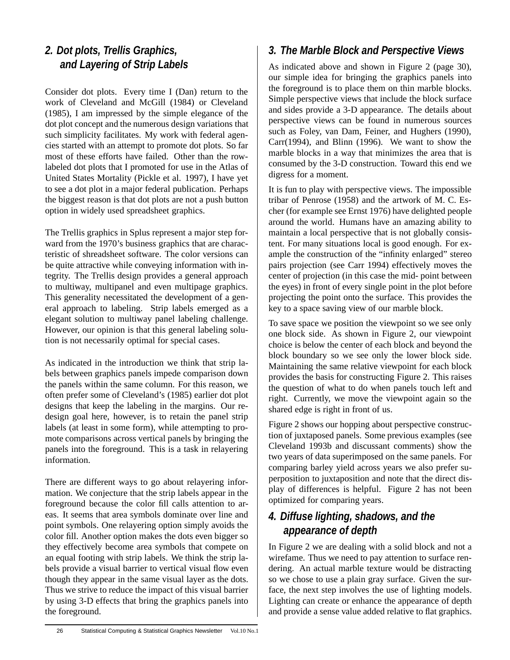## **2. Dot plots, Trellis Graphics, and Layering of Strip Labels**

Consider dot plots. Every time I (Dan) return to the work of Cleveland and McGill (1984) or Cleveland (1985), I am impressed by the simple elegance of the dot plot concept and the numerous design variations that such simplicity facilitates. My work with federal agencies started with an attempt to promote dot plots. So far most of these efforts have failed. Other than the rowlabeled dot plots that I promoted for use in the Atlas of United States Mortality (Pickle et al. 1997), I have yet to see a dot plot in a major federal publication. Perhaps the biggest reason is that dot plots are not a push button option in widely used spreadsheet graphics.

The Trellis graphics in Splus represent a major step forward from the 1970's business graphics that are characteristic of shreadsheet software. The color versions can be quite attractive while conveying information with integrity. The Trellis design provides a general approach to multiway, multipanel and even multipage graphics. This generality necessitated the development of a general approach to labeling. Strip labels emerged as a elegant solution to multiway panel labeling challenge. However, our opinion is that this general labeling solution is not necessarily optimal for special cases.

As indicated in the introduction we think that strip labels between graphics panels impede comparison down the panels within the same column. For this reason, we often prefer some of Cleveland's (1985) earlier dot plot designs that keep the labeling in the margins. Our redesign goal here, however, is to retain the panel strip labels (at least in some form), while attempting to promote comparisons across vertical panels by bringing the panels into the foreground. This is a task in relayering information.

There are different ways to go about relayering information. We conjecture that the strip labels appear in the foreground because the color fill calls attention to areas. It seems that area symbols dominate over line and point symbols. One relayering option simply avoids the color fill. Another option makes the dots even bigger so they effectively become area symbols that compete on an equal footing with strip labels. We think the strip labels provide a visual barrier to vertical visual flow even though they appear in the same visual layer as the dots. Thus we strive to reduce the impact of this visual barrier by using 3-D effects that bring the graphics panels into the foreground.

## **3. The Marble Block and Perspective Views**

As indicated above and shown in Figure 2 (page 30), our simple idea for bringing the graphics panels into the foreground is to place them on thin marble blocks. Simple perspective views that include the block surface and sides provide a 3-D appearance. The details about perspective views can be found in numerous sources such as Foley, van Dam, Feiner, and Hughers (1990), Carr(1994), and Blinn (1996). We want to show the marble blocks in a way that minimizes the area that is consumed by the 3-D construction. Toward this end we digress for a moment.

It is fun to play with perspective views. The impossible tribar of Penrose (1958) and the artwork of M. C. Escher (for example see Ernst 1976) have delighted people around the world. Humans have an amazing ability to maintain a local perspective that is not globally consistent. For many situations local is good enough. For example the construction of the "infinity enlarged" stereo pairs projection (see Carr 1994) effectively moves the center of projection (in this case the mid- point between the eyes) in front of every single point in the plot before projecting the point onto the surface. This provides the key to a space saving view of our marble block.

To save space we position the viewpoint so we see only one block side. As shown in Figure 2, our viewpoint choice is below the center of each block and beyond the block boundary so we see only the lower block side. Maintaining the same relative viewpoint for each block provides the basis for constructing Figure 2. This raises the question of what to do when panels touch left and right. Currently, we move the viewpoint again so the shared edge is right in front of us.

Figure 2 shows our hopping about perspective construction of juxtaposed panels. Some previous examples (see Cleveland 1993b and discussant comments) show the two years of data superimposed on the same panels. For comparing barley yield across years we also prefer superposition to juxtaposition and note that the direct display of differences is helpful. Figure 2 has not been optimized for comparing years.

### **4. Diffuse lighting, shadows, and the appearance of depth**

In Figure 2 we are dealing with a solid block and not a wirefame. Thus we need to pay attention to surface rendering. An actual marble texture would be distracting so we chose to use a plain gray surface. Given the surface, the next step involves the use of lighting models. Lighting can create or enhance the appearance of depth and provide a sense value added relative to flat graphics.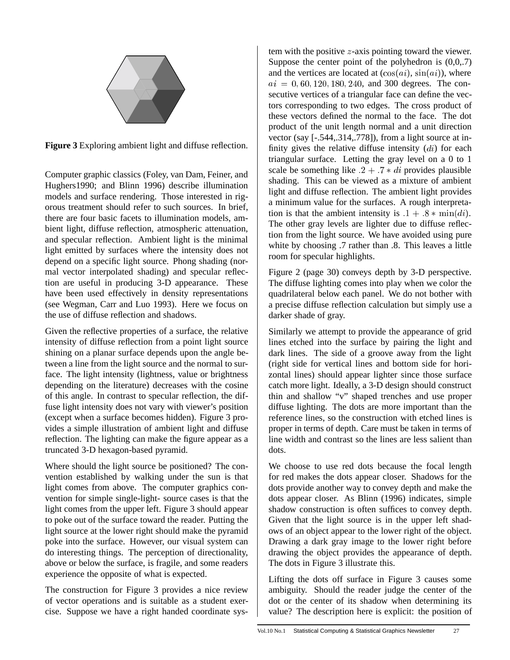

**Figure 3** Exploring ambient light and diffuse reflection.

Computer graphic classics (Foley, van Dam, Feiner, and Hughers1990; and Blinn 1996) describe illumination models and surface rendering. Those interested in rigorous treatment should refer to such sources. In brief, there are four basic facets to illumination models, ambient light, diffuse reflection, atmospheric attenuation, and specular reflection. Ambient light is the minimal light emitted by surfaces where the intensity does not depend on a specific light source. Phong shading (normal vector interpolated shading) and specular reflection are useful in producing 3-D appearance. These have been used effectively in density representations (see Wegman, Carr and Luo 1993). Here we focus on the use of diffuse reflection and shadows.

Given the reflective properties of a surface, the relative intensity of diffuse reflection from a point light source shining on a planar surface depends upon the angle between a line from the light source and the normal to surface. The light intensity (lightness, value or brightness depending on the literature) decreases with the cosine of this angle. In contrast to specular reflection, the diffuse light intensity does not vary with viewer's position (except when a surface becomes hidden). Figure 3 provides a simple illustration of ambient light and diffuse reflection. The lighting can make the figure appear as a truncated 3-D hexagon-based pyramid.

Where should the light source be positioned? The convention established by walking under the sun is that light comes from above. The computer graphics convention for simple single-light- source cases is that the light comes from the upper left. Figure 3 should appear to poke out of the surface toward the reader. Putting the light source at the lower right should make the pyramid poke into the surface. However, our visual system can do interesting things. The perception of directionality, above or below the surface, is fragile, and some readers experience the opposite of what is expected.

The construction for Figure 3 provides a nice review of vector operations and is suitable as a student exercise. Suppose we have a right handed coordinate system with the positive <sup>z</sup>-axis pointing toward the viewer. Suppose the center point of the polyhedron is  $(0,0,7)$ and the vertices are located at  $(\cos(ai), \sin(ai))$ , where  $ai = 0, 60, 120, 180, 240,$  and 300 degrees. The consecutive vertices of a triangular face can define the vectors corresponding to two edges. The cross product of these vectors defined the normal to the face. The dot product of the unit length normal and a unit direction vector (say [-.544,.314,.778]), from a light source at infinity gives the relative diffuse intensity  $(d*i*)$  for each triangular surface. Letting the gray level on a 0 to 1 scale be something like  $.2 + .7 * di$  provides plausible shading. This can be viewed as a mixture of ambient light and diffuse reflection. The ambient light provides a minimum value for the surfaces. A rough interpretation is that the ambient intensity is  $.1 + .8 * min(di)$ . The other gray levels are lighter due to diffuse reflection from the light source. We have avoided using pure white by choosing .7 rather than .8. This leaves a little room for specular highlights.

Figure 2 (page 30) conveys depth by 3-D perspective. The diffuse lighting comes into play when we color the quadrilateral below each panel. We do not bother with a precise diffuse reflection calculation but simply use a darker shade of gray.

Similarly we attempt to provide the appearance of grid lines etched into the surface by pairing the light and dark lines. The side of a groove away from the light (right side for vertical lines and bottom side for horizontal lines) should appear lighter since those surface catch more light. Ideally, a 3-D design should construct thin and shallow "v" shaped trenches and use proper diffuse lighting. The dots are more important than the reference lines, so the construction with etched lines is proper in terms of depth. Care must be taken in terms of line width and contrast so the lines are less salient than dots.

We choose to use red dots because the focal length for red makes the dots appear closer. Shadows for the dots provide another way to convey depth and make the dots appear closer. As Blinn (1996) indicates, simple shadow construction is often suffices to convey depth. Given that the light source is in the upper left shadows of an object appear to the lower right of the object. Drawing a dark gray image to the lower right before drawing the object provides the appearance of depth. The dots in Figure 3 illustrate this.

Lifting the dots off surface in Figure 3 causes some ambiguity. Should the reader judge the center of the dot or the center of its shadow when determining its value? The description here is explicit: the position of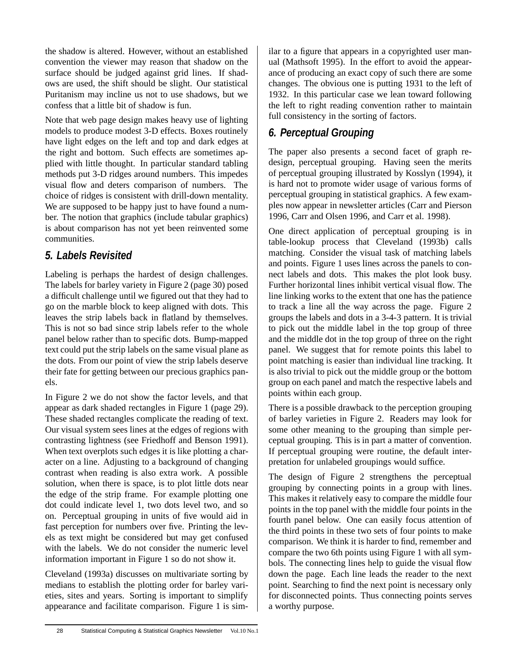the shadow is altered. However, without an established convention the viewer may reason that shadow on the surface should be judged against grid lines. If shadows are used, the shift should be slight. Our statistical Puritanism may incline us not to use shadows, but we confess that a little bit of shadow is fun.

Note that web page design makes heavy use of lighting models to produce modest 3-D effects. Boxes routinely have light edges on the left and top and dark edges at the right and bottom. Such effects are sometimes applied with little thought. In particular standard tabling methods put 3-D ridges around numbers. This impedes visual flow and deters comparison of numbers. The choice of ridges is consistent with drill-down mentality. We are supposed to be happy just to have found a number. The notion that graphics (include tabular graphics) is about comparison has not yet been reinvented some communities.

#### **5. Labels Revisited**

Labeling is perhaps the hardest of design challenges. The labels for barley variety in Figure 2 (page 30) posed a difficult challenge until we figured out that they had to go on the marble block to keep aligned with dots. This leaves the strip labels back in flatland by themselves. This is not so bad since strip labels refer to the whole panel below rather than to specific dots. Bump-mapped text could put the strip labels on the same visual plane as the dots. From our point of view the strip labels deserve their fate for getting between our precious graphics panels.

In Figure 2 we do not show the factor levels, and that appear as dark shaded rectangles in Figure 1 (page 29). These shaded rectangles complicate the reading of text. Our visual system sees lines at the edges of regions with contrasting lightness (see Friedhoff and Benson 1991). When text overplots such edges it is like plotting a character on a line. Adjusting to a background of changing contrast when reading is also extra work. A possible solution, when there is space, is to plot little dots near the edge of the strip frame. For example plotting one dot could indicate level 1, two dots level two, and so on. Perceptual grouping in units of five would aid in fast perception for numbers over five. Printing the levels as text might be considered but may get confused with the labels. We do not consider the numeric level information important in Figure 1 so do not show it.

Cleveland (1993a) discusses on multivariate sorting by medians to establish the plotting order for barley varieties, sites and years. Sorting is important to simplify appearance and facilitate comparison. Figure 1 is similar to a figure that appears in a copyrighted user manual (Mathsoft 1995). In the effort to avoid the appearance of producing an exact copy of such there are some changes. The obvious one is putting 1931 to the left of 1932. In this particular case we lean toward following the left to right reading convention rather to maintain full consistency in the sorting of factors.

## **6. Perceptual Grouping**

The paper also presents a second facet of graph redesign, perceptual grouping. Having seen the merits of perceptual grouping illustrated by Kosslyn (1994), it is hard not to promote wider usage of various forms of perceptual grouping in statistical graphics. A few examples now appear in newsletter articles (Carr and Pierson 1996, Carr and Olsen 1996, and Carr et al. 1998).

One direct application of perceptual grouping is in table-lookup process that Cleveland (1993b) calls matching. Consider the visual task of matching labels and points. Figure 1 uses lines across the panels to connect labels and dots. This makes the plot look busy. Further horizontal lines inhibit vertical visual flow. The line linking works to the extent that one has the patience to track a line all the way across the page. Figure 2 groups the labels and dots in a 3-4-3 pattern. It is trivial to pick out the middle label in the top group of three and the middle dot in the top group of three on the right panel. We suggest that for remote points this label to point matching is easier than individual line tracking. It is also trivial to pick out the middle group or the bottom group on each panel and match the respective labels and points within each group.

There is a possible drawback to the perception grouping of barley varieties in Figure 2. Readers may look for some other meaning to the grouping than simple perceptual grouping. This is in part a matter of convention. If perceptual grouping were routine, the default interpretation for unlabeled groupings would suffice.

The design of Figure 2 strengthens the perceptual grouping by connecting points in a group with lines. This makes it relatively easy to compare the middle four points in the top panel with the middle four points in the fourth panel below. One can easily focus attention of the third points in these two sets of four points to make comparison. We think it is harder to find, remember and compare the two 6th points using Figure 1 with all symbols. The connecting lines help to guide the visual flow down the page. Each line leads the reader to the next point. Searching to find the next point is necessary only for disconnected points. Thus connecting points serves a worthy purpose.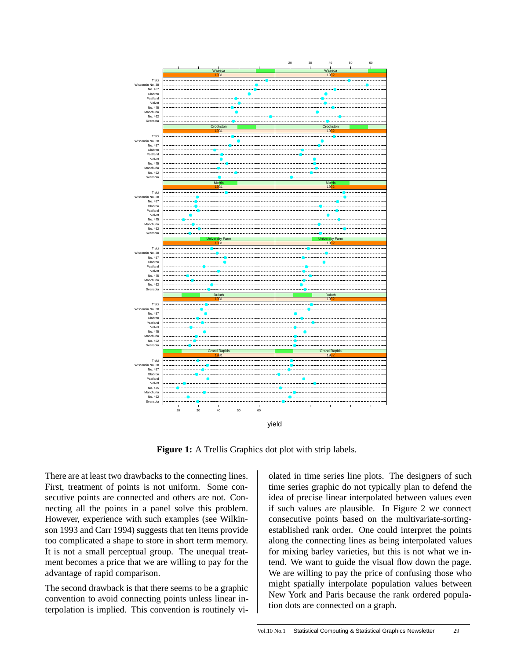

**Figure 1:** A Trellis Graphics dot plot with strip labels.

There are at least two drawbacks to the connecting lines. First, treatment of points is not uniform. Some consecutive points are connected and others are not. Connecting all the points in a panel solve this problem. However, experience with such examples (see Wilkinson 1993 and Carr 1994) suggests that ten items provide too complicated a shape to store in short term memory. It is not a small perceptual group. The unequal treatment becomes a price that we are willing to pay for the advantage of rapid comparison.

The second drawback is that there seems to be a graphic convention to avoid connecting points unless linear interpolation is implied. This convention is routinely violated in time series line plots. The designers of such time series graphic do not typically plan to defend the idea of precise linear interpolated between values even if such values are plausible. In Figure 2 we connect consecutive points based on the multivariate-sortingestablished rank order. One could interpret the points along the connecting lines as being interpolated values for mixing barley varieties, but this is not what we intend. We want to guide the visual flow down the page. We are willing to pay the price of confusing those who might spatially interpolate population values between New York and Paris because the rank ordered population dots are connected on a graph.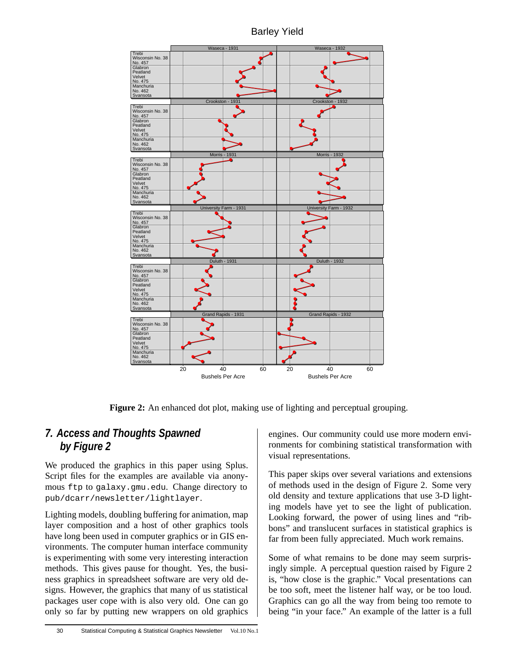Barley Yield



**Figure 2:** An enhanced dot plot, making use of lighting and perceptual grouping.

#### **7. Access and Thoughts Spawned by Figure 2**

We produced the graphics in this paper using Splus. Script files for the examples are available via anonymous ftp to galaxy.gmu.edu. Change directory to pub/dcarr/newsletter/lightlayer.

Lighting models, doubling buffering for animation, map layer composition and a host of other graphics tools have long been used in computer graphics or in GIS environments. The computer human interface community is experimenting with some very interesting interaction methods. This gives pause for thought. Yes, the business graphics in spreadsheet software are very old designs. However, the graphics that many of us statistical packages user cope with is also very old. One can go only so far by putting new wrappers on old graphics engines. Our community could use more modern environments for combining statistical transformation with visual representations.

This paper skips over several variations and extensions of methods used in the design of Figure 2. Some very old density and texture applications that use 3-D lighting models have yet to see the light of publication. Looking forward, the power of using lines and "ribbons" and translucent surfaces in statistical graphics is far from been fully appreciated. Much work remains.

Some of what remains to be done may seem surprisingly simple. A perceptual question raised by Figure 2 is, "how close is the graphic." Vocal presentations can be too soft, meet the listener half way, or be too loud. Graphics can go all the way from being too remote to being "in your face." An example of the latter is a full